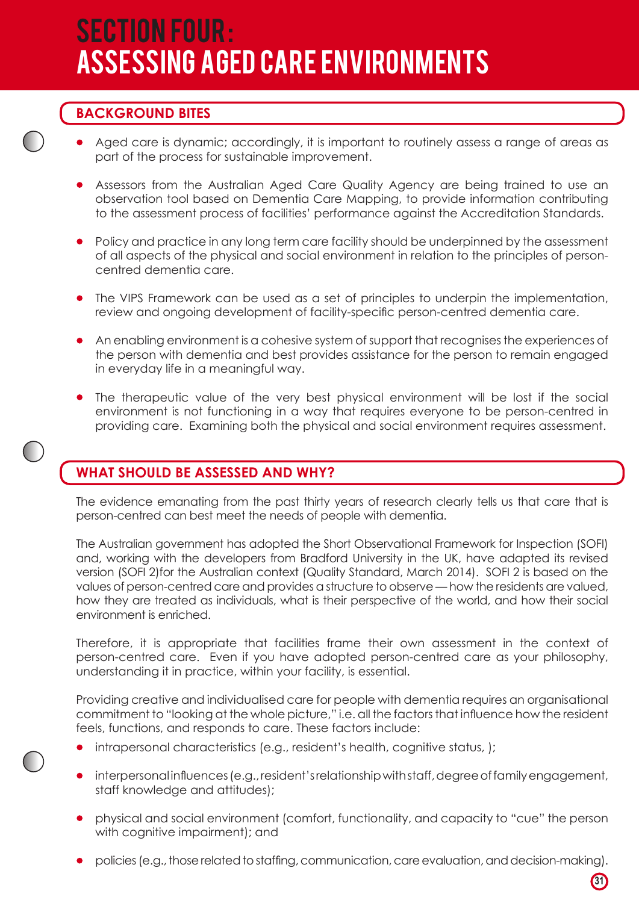# SECTION Four : ASSESSING AGED CARE ENVIRONMENTS

## **BACKGROUND BITES**

- Aged care is dynamic; accordingly, it is important to routinely assess a range of areas as part of the process for sustainable improvement.
- Assessors from the Australian Aged Care Quality Agency are being trained to use an observation tool based on Dementia Care Mapping, to provide information contributing to the assessment process of facilities' performance against the Accreditation Standards.
- Policy and practice in any long term care facility should be underpinned by the assessment of all aspects of the physical and social environment in relation to the principles of personcentred dementia care.
- The VIPS Framework can be used as a set of principles to underpin the implementation, review and ongoing development of facility-specific person-centred dementia care.
- An enabling environment is a cohesive system of support that recognises the experiences of the person with dementia and best provides assistance for the person to remain engaged in everyday life in a meaningful way.
- The therapeutic value of the very best physical environment will be lost if the social environment is not functioning in a way that requires everyone to be person-centred in providing care. Examining both the physical and social environment requires assessment.

## **WHAT SHOULD BE ASSESSED AND WHY?**

The evidence emanating from the past thirty years of research clearly tells us that care that is person-centred can best meet the needs of people with dementia.

The Australian government has adopted the Short Observational Framework for Inspection (SOFI) and, working with the developers from Bradford University in the UK, have adapted its revised version (SOFI 2)for the Australian context (Quality Standard, March 2014). SOFI 2 is based on the values of person-centred care and provides a structure to observe — how the residents are valued, how they are treated as individuals, what is their perspective of the world, and how their social environment is enriched.

Therefore, it is appropriate that facilities frame their own assessment in the context of person-centred care. Even if you have adopted person-centred care as your philosophy, understanding it in practice, within your facility, is essential.

Providing creative and individualised care for people with dementia requires an organisational commitment to "looking at the whole picture," i.e. all the factors that influence how the resident feels, functions, and responds to care. These factors include:

- intrapersonal characteristics (e.g., resident's health, cognitive status, );
- interpersonal influences (e.g., resident's relationship with staff, degree of family engagement, staff knowledge and attitudes);
- • physical and social environment (comfort, functionality, and capacity to "cue" the person with cognitive impairment); and
- policies (e.g., those related to staffing, communication, care evaluation, and decision-making).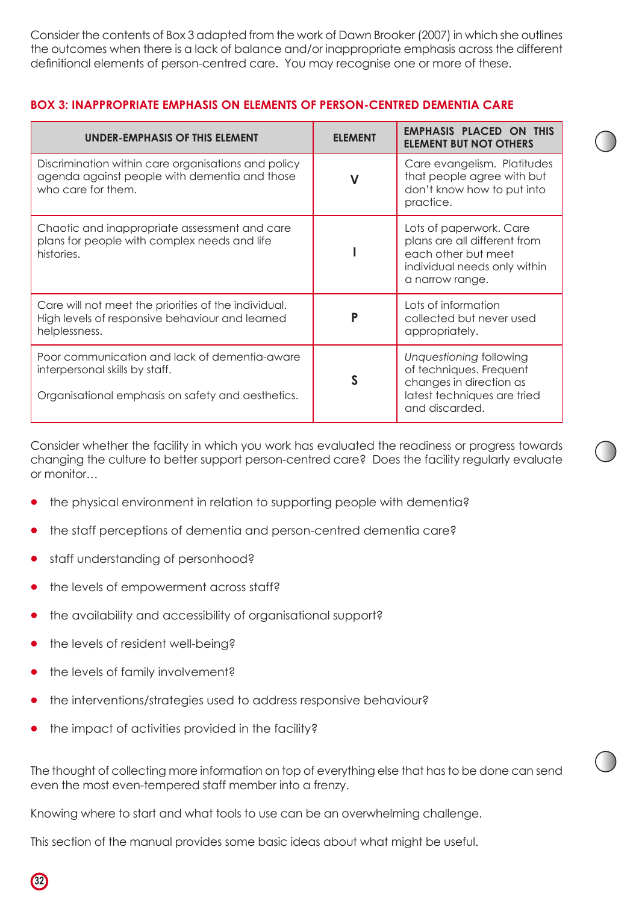Consider the contents of Box 3 adapted from the work of Dawn Brooker (2007) in which she outlines the outcomes when there is a lack of balance and/or inappropriate emphasis across the different definitional elements of person-centred care. You may recognise one or more of these.

| <b>UNDER-EMPHASIS OF THIS ELEMENT</b>                                                                                                | <b>ELEMENT</b> | <b>EMPHASIS PLACED ON THIS</b><br><b>ELEMENT BUT NOT OTHERS</b>                                                                   |
|--------------------------------------------------------------------------------------------------------------------------------------|----------------|-----------------------------------------------------------------------------------------------------------------------------------|
| Discrimination within care organisations and policy<br>agenda against people with dementia and those<br>who care for them.           | V              | Care evangelism. Platitudes<br>that people agree with but<br>don't know how to put into<br>practice.                              |
| Chaotic and inappropriate assessment and care<br>plans for people with complex needs and life<br>histories.                          |                | Lots of paperwork. Care<br>plans are all different from<br>each other but meet<br>individual needs only within<br>a narrow range. |
| Care will not meet the priorities of the individual.<br>High levels of responsive behaviour and learned<br>helplessness.             | P              | Lots of information<br>collected but never used<br>appropriately.                                                                 |
| Poor communication and lack of dementia-aware<br>interpersonal skills by staff.<br>Organisational emphasis on safety and aesthetics. |                | Unquestioning following<br>of techniques. Frequent<br>changes in direction as<br>latest techniques are tried<br>and discarded.    |

#### **BOX 3: INAPPROPRIATE EMPHASIS ON ELEMENTS OF PERSON-CENTRED DEMENTIA CARE**

Consider whether the facility in which you work has evaluated the readiness or progress towards changing the culture to better support person-centred care? Does the facility regularly evaluate or monitor…

- the physical environment in relation to supporting people with dementia?
- the staff perceptions of dementia and person-centred dementia care?
- staff understanding of personhood?
- the levels of empowerment across staff?
- the availability and accessibility of organisational support?
- the levels of resident well-being?
- the levels of family involvement?

**32**

- the interventions/strategies used to address responsive behaviour?
- the impact of activities provided in the facility?

The thought of collecting more information on top of everything else that has to be done can send even the most even-tempered staff member into a frenzy.

Knowing where to start and what tools to use can be an overwhelming challenge.

This section of the manual provides some basic ideas about what might be useful.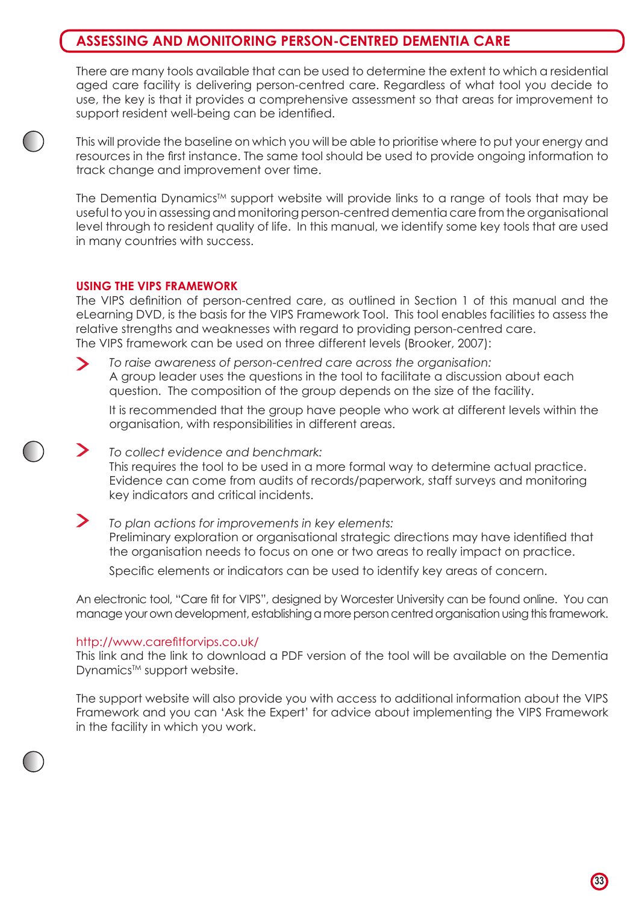## **ASSESSING AND MONITORING PERSON-CENTRED DEMENTIA CARE**

There are many tools available that can be used to determine the extent to which a residential aged care facility is delivering person-centred care. Regardless of what tool you decide to use, the key is that it provides a comprehensive assessment so that areas for improvement to support resident well-being can be identified.

This will provide the baseline on which you will be able to prioritise where to put your energy and resources in the first instance. The same tool should be used to provide ongoing information to track change and improvement over time.

The Dementia Dynamics<sup>™</sup> support website will provide links to a range of tools that may be useful to you in assessing and monitoring person-centred dementia care from the organisational level through to resident quality of life. In this manual, we identify some key tools that are used in many countries with success.

#### **USING THE VIPS FRAMEWORK**

The VIPS definition of person-centred care, as outlined in Section 1 of this manual and the eLearning DVD, is the basis for the VIPS Framework Tool. This tool enables facilities to assess the relative strengths and weaknesses with regard to providing person-centred care. The VIPS framework can be used on three different levels (Brooker, 2007):

*To raise awareness of person-centred care across the organisation:*  $\blacktriangleright$ A group leader uses the questions in the tool to facilitate a discussion about each question. The composition of the group depends on the size of the facility.

It is recommended that the group have people who work at different levels within the organisation, with responsibilities in different areas.

*To collect evidence and benchmark:* This requires the tool to be used in a more formal way to determine actual practice. Evidence can come from audits of records/paperwork, staff surveys and monitoring key indicators and critical incidents.

> *To plan actions for improvements in key elements:* Preliminary exploration or organisational strategic directions may have identified that the organisation needs to focus on one or two areas to really impact on practice.

Specific elements or indicators can be used to identify key areas of concern.

An electronic tool, "Care fit for VIPS", designed by Worcester University can be found online. You can manage your own development, establishing a more person centred organisation using this framework.

#### http://www.carefitforvips.co.uk/

This link and the link to download a PDF version of the tool will be available on the Dementia Dynamics<sup>™</sup> support website.

The support website will also provide you with access to additional information about the VIPS Framework and you can 'Ask the Expert' for advice about implementing the VIPS Framework in the facility in which you work.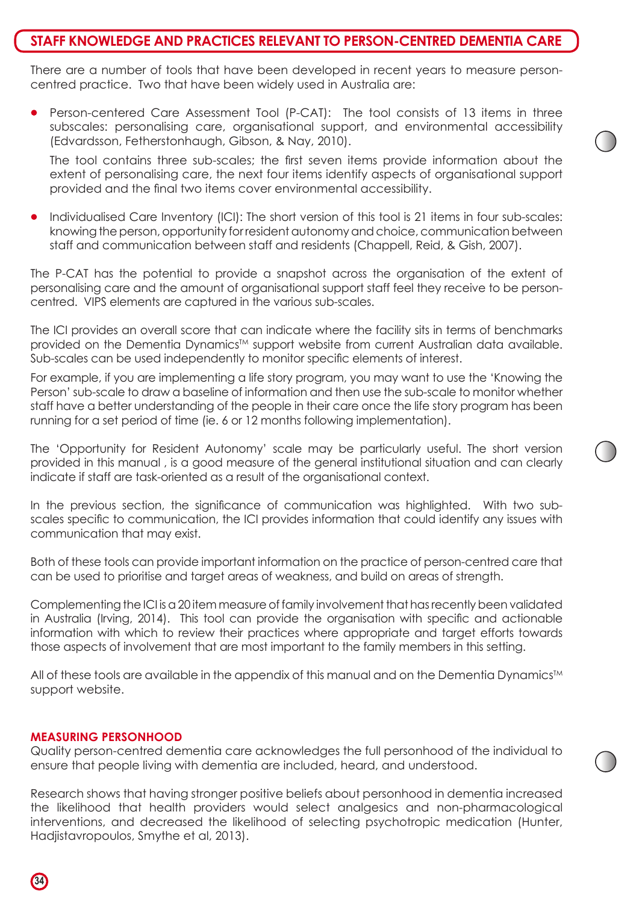## **STAFF KNOWLEDGE AND PRACTICES RELEVANT TO PERSON-CENTRED DEMENTIA CARE**

There are a number of tools that have been developed in recent years to measure personcentred practice. Two that have been widely used in Australia are:

Person-centered Care Assessment Tool (P-CAT): The tool consists of 13 items in three subscales: personalising care, organisational support, and environmental accessibility (Edvardsson, Fetherstonhaugh, Gibson, & Nay, 2010).

The tool contains three sub-scales; the first seven items provide information about the extent of personalising care, the next four items identify aspects of organisational support provided and the final two items cover environmental accessibility.

Individualised Care Inventory (ICI): The short version of this tool is 21 items in four sub-scales: knowing the person, opportunity for resident autonomy and choice, communication between staff and communication between staff and residents (Chappell, Reid, & Gish, 2007).

The P-CAT has the potential to provide a snapshot across the organisation of the extent of personalising care and the amount of organisational support staff feel they receive to be personcentred. VIPS elements are captured in the various sub-scales.

The ICI provides an overall score that can indicate where the facility sits in terms of benchmarks provided on the Dementia Dynamics<sup>™</sup> support website from current Australian data available. Sub-scales can be used independently to monitor specific elements of interest.

For example, if you are implementing a life story program, you may want to use the 'Knowing the Person' sub-scale to draw a baseline of information and then use the sub-scale to monitor whether staff have a better understanding of the people in their care once the life story program has been running for a set period of time (ie. 6 or 12 months following implementation).

The 'Opportunity for Resident Autonomy' scale may be particularly useful. The short version provided in this manual , is a good measure of the general institutional situation and can clearly indicate if staff are task-oriented as a result of the organisational context.

In the previous section, the significance of communication was highlighted. With two subscales specific to communication, the ICI provides information that could identify any issues with communication that may exist.

Both of these tools can provide important information on the practice of person-centred care that can be used to prioritise and target areas of weakness, and build on areas of strength.

Complementing the ICI is a 20 item measure of family involvement that has recently been validated in Australia (Irving, 2014). This tool can provide the organisation with specific and actionable information with which to review their practices where appropriate and target efforts towards those aspects of involvement that are most important to the family members in this setting.

All of these tools are available in the appendix of this manual and on the Dementia Dynamics™ support website.

#### **MEASURING PERSONHOOD**

Quality person-centred dementia care acknowledges the full personhood of the individual to ensure that people living with dementia are included, heard, and understood.

Research shows that having stronger positive beliefs about personhood in dementia increased the likelihood that health providers would select analgesics and non-pharmacological interventions, and decreased the likelihood of selecting psychotropic medication (Hunter, Hadjistavropoulos, Smythe et al, 2013).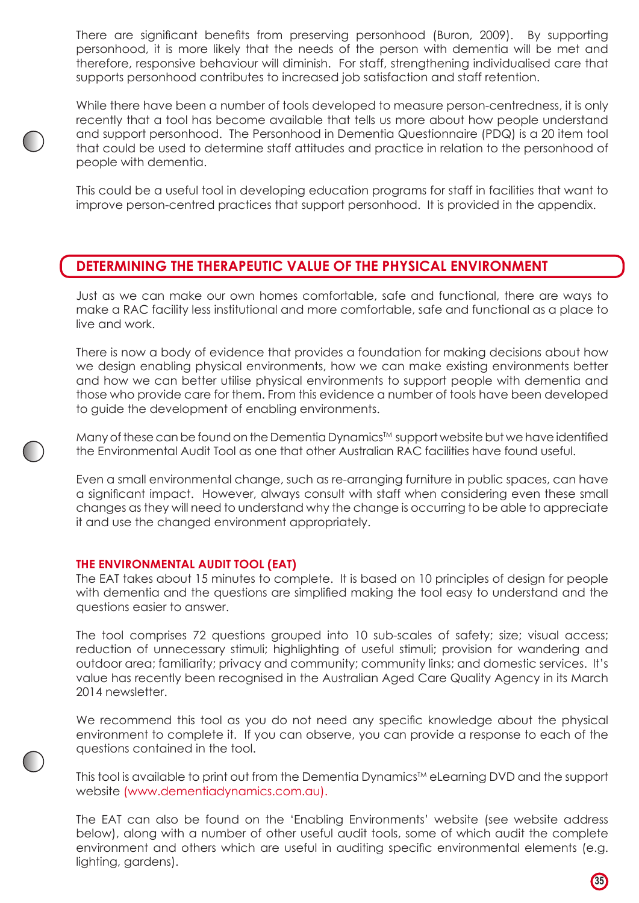There are significant benefits from preserving personhood (Buron, 2009). By supporting personhood, it is more likely that the needs of the person with dementia will be met and therefore, responsive behaviour will diminish. For staff, strengthening individualised care that supports personhood contributes to increased job satisfaction and staff retention.

While there have been a number of tools developed to measure person-centredness, it is only recently that a tool has become available that tells us more about how people understand and support personhood. The Personhood in Dementia Questionnaire (PDQ) is a 20 item tool that could be used to determine staff attitudes and practice in relation to the personhood of people with dementia.

This could be a useful tool in developing education programs for staff in facilities that want to improve person-centred practices that support personhood. It is provided in the appendix.

## **DETERMINING THE THERAPEUTIC VALUE OF THE PHYSICAL ENVIRONMENT**

Just as we can make our own homes comfortable, safe and functional, there are ways to make a RAC facility less institutional and more comfortable, safe and functional as a place to live and work.

There is now a body of evidence that provides a foundation for making decisions about how we design enabling physical environments, how we can make existing environments better and how we can better utilise physical environments to support people with dementia and those who provide care for them. From this evidence a number of tools have been developed to guide the development of enabling environments.

Many of these can be found on the Dementia Dynamics<sup>TM</sup> support website but we have identified the Environmental Audit Tool as one that other Australian RAC facilities have found useful.

Even a small environmental change, such as re-arranging furniture in public spaces, can have a significant impact. However, always consult with staff when considering even these small changes as they will need to understand why the change is occurring to be able to appreciate it and use the changed environment appropriately.

#### **THE ENVIRONMENTAL AUDIT TOOL (EAT)**

The EAT takes about 15 minutes to complete. It is based on 10 principles of design for people with dementia and the questions are simplified making the tool easy to understand and the questions easier to answer.

The tool comprises 72 questions grouped into 10 sub-scales of safety; size; visual access; reduction of unnecessary stimuli; highlighting of useful stimuli; provision for wandering and outdoor area; familiarity; privacy and community; community links; and domestic services. It's value has recently been recognised in the Australian Aged Care Quality Agency in its March 2014 newsletter.

We recommend this tool as you do not need any specific knowledge about the physical environment to complete it. If you can observe, you can provide a response to each of the questions contained in the tool.

This tool is available to print out from the Dementia Dynamics<sup>TM</sup> eLearning DVD and the support website (www.dementiadynamics.com.au).

The EAT can also be found on the 'Enabling Environments' website (see website address below), along with a number of other useful audit tools, some of which audit the complete environment and others which are useful in auditing specific environmental elements (e.g. lighting, gardens).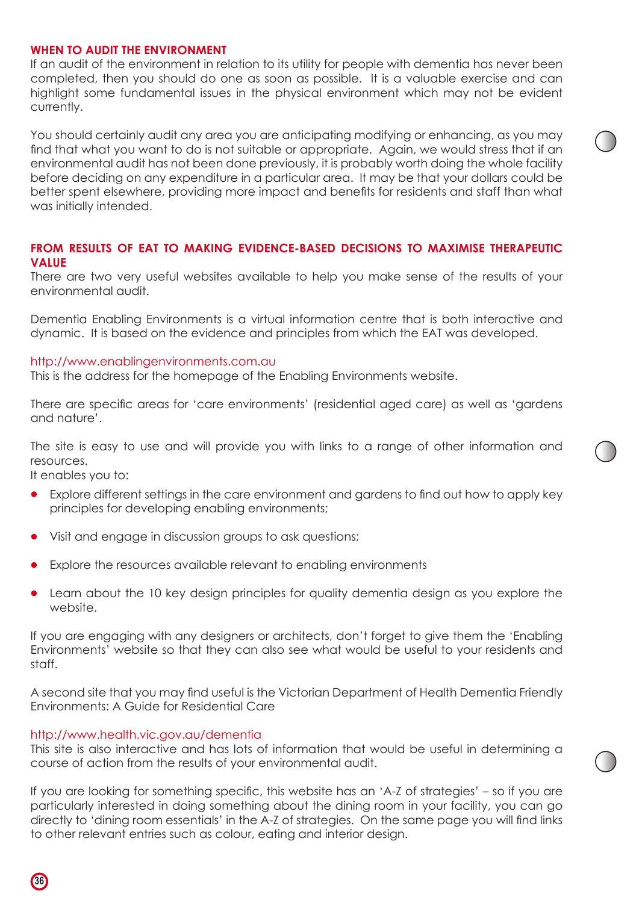#### **WHEN TO AUDIT THE ENVIRONMENT**

If an audit of the environment in relation to its utility for people with dementia has never been completed, then you should do one as soon as possible. It is a valuable exercise and can highlight some fundamental issues in the physical environment which may not be evident currently.

You should certainly audit any area you are anticipating modifying or enhancing, as you may find that what you want to do is not suitable or appropriate. Again, we would stress that if an environmental audit has not been done previously, it is probably worth doing the whole facility before deciding on any expenditure in a particular area. It may be that your dollars could be better spent elsewhere, providing more impact and benefits for residents and staff than what was initially intended.

#### **FROM RESULTS OF EAT TO MAKING EVIDENCE-BASED DECISIONS TO MAXIMISE THERAPEUTIC VALUE**

There are two very useful websites available to help you make sense of the results of your environmental audit.

Dementia Enabling Environments is a virtual information centre that is both interactive and dynamic. It is based on the evidence and principles from which the EAT was developed.

#### http://www.enablingenvironments.com.au

This is the address for the homepage of the Enabling Environments website.

There are specific areas for 'care environments' (residential aged care) as well as 'gardens and nature'.

The site is easy to use and will provide you with links to a range of other information and resources.

It enables you to:

- Explore different settings in the care environment and gardens to find out how to apply key principles for developing enabling environments;
- Visit and engage in discussion groups to ask questions;
- Explore the resources available relevant to enabling environments
- Learn about the 10 key design principles for quality dementia design as you explore the website.

If you are engaging with any designers or architects, don't forget to give them the 'Enabling Environments' website so that they can also see what would be useful to your residents and staff.

A second site that you may find useful is the Victorian Department of Health Dementia Friendly Environments: A Guide for Residential Care

#### http://www.health.vic.gov.au/dementia

This site is also interactive and has lots of information that would be useful in determining a course of action from the results of your environmental audit.

If you are looking for something specific, this website has an 'A-Z of strategies' – so if you are particularly interested in doing something about the dining room in your facility, you can go directly to 'dining room essentials' in the A-Z of strategies. On the same page you will find links to other relevant entries such as colour, eating and interior design.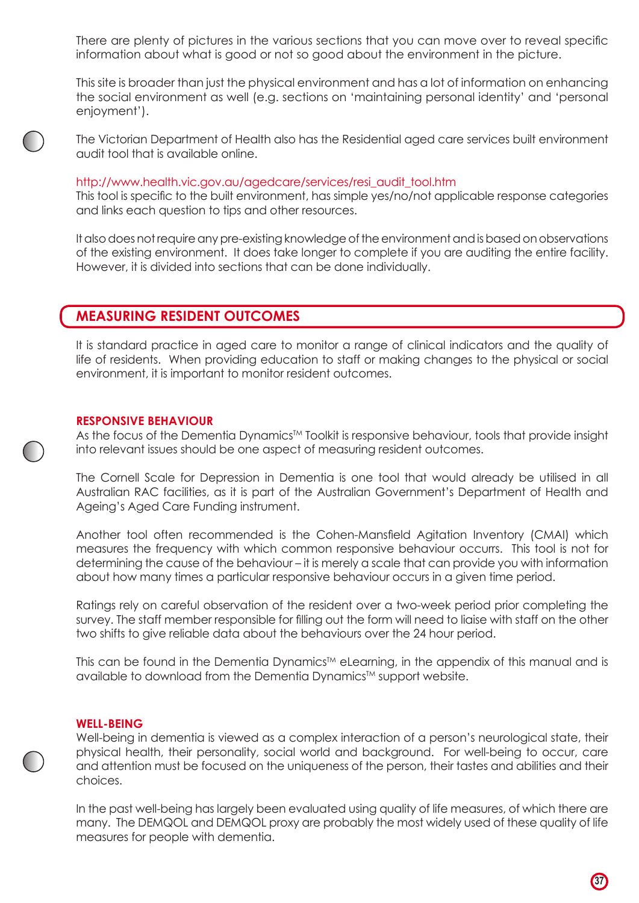There are plenty of pictures in the various sections that you can move over to reveal specific information about what is good or not so good about the environment in the picture.

This site is broader than just the physical environment and has a lot of information on enhancing the social environment as well (e.g. sections on 'maintaining personal identity' and 'personal enjoyment').

The Victorian Department of Health also has the Residential aged care services built environment audit tool that is available online.

#### http://www.health.vic.gov.au/agedcare/services/resi\_audit\_tool.htm

This tool is specific to the built environment, has simple yes/no/not applicable response categories and links each question to tips and other resources.

It also does not require any pre-existing knowledge of the environment and is based on observations of the existing environment. It does take longer to complete if you are auditing the entire facility. However, it is divided into sections that can be done individually.

## **MEASURING RESIDENT OUTCOMES**

It is standard practice in aged care to monitor a range of clinical indicators and the quality of life of residents. When providing education to staff or making changes to the physical or social environment, it is important to monitor resident outcomes.

#### **RESPONSIVE BEHAVIOUR**

As the focus of the Dementia Dynamics<sup>TM</sup> Toolkit is responsive behaviour, tools that provide insight into relevant issues should be one aspect of measuring resident outcomes.

The Cornell Scale for Depression in Dementia is one tool that would already be utilised in all Australian RAC facilities, as it is part of the Australian Government's Department of Health and Ageing's Aged Care Funding instrument.

Another tool often recommended is the Cohen-Mansfield Agitation Inventory (CMAI) which measures the frequency with which common responsive behaviour occurrs. This tool is not for determining the cause of the behaviour – it is merely a scale that can provide you with information about how many times a particular responsive behaviour occurs in a given time period.

Ratings rely on careful observation of the resident over a two-week period prior completing the survey. The staff member responsible for filling out the form will need to liaise with staff on the other two shifts to give reliable data about the behaviours over the 24 hour period.

This can be found in the Dementia Dynamics™ eLearning, in the appendix of this manual and is available to download from the Dementia Dynamics™ support website.

#### **WELL-BEING**

Well-being in dementia is viewed as a complex interaction of a person's neurological state, their physical health, their personality, social world and background. For well-being to occur, care and attention must be focused on the uniqueness of the person, their tastes and abilities and their choices.

In the past well-being has largely been evaluated using quality of life measures, of which there are many. The DEMQOL and DEMQOL proxy are probably the most widely used of these quality of life measures for people with dementia.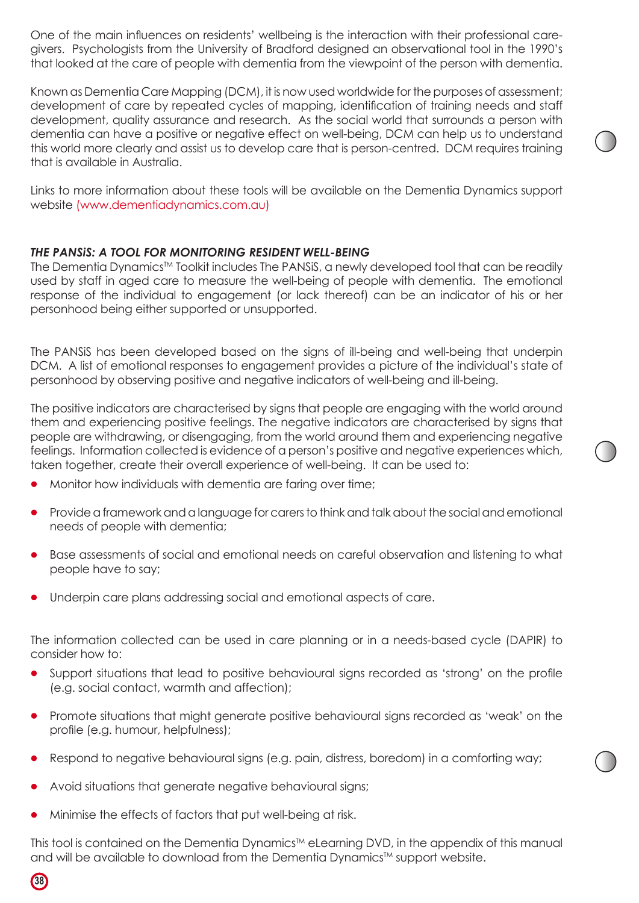One of the main influences on residents' wellbeing is the interaction with their professional caregivers. Psychologists from the University of Bradford designed an observational tool in the 1990's that looked at the care of people with dementia from the viewpoint of the person with dementia.

Known as Dementia Care Mapping (DCM), it is now used worldwide for the purposes of assessment; development of care by repeated cycles of mapping, identification of training needs and staff development, quality assurance and research. As the social world that surrounds a person with dementia can have a positive or negative effect on well-being, DCM can help us to understand this world more clearly and assist us to develop care that is person-centred. DCM requires training that is available in Australia.

Links to more information about these tools will be available on the Dementia Dynamics support website (www.dementiadynamics.com.au)

#### *THE PANSiS: A TOOL FOR MONITORING RESIDENT WELL-BEING*

The Dementia Dynamics<sup>™</sup> Toolkit includes The PANSiS, a newly developed tool that can be readily used by staff in aged care to measure the well-being of people with dementia. The emotional response of the individual to engagement (or lack thereof) can be an indicator of his or her personhood being either supported or unsupported.

The PANSiS has been developed based on the signs of ill-being and well-being that underpin DCM. A list of emotional responses to engagement provides a picture of the individual's state of personhood by observing positive and negative indicators of well-being and ill-being.

The positive indicators are characterised by signs that people are engaging with the world around them and experiencing positive feelings. The negative indicators are characterised by signs that people are withdrawing, or disengaging, from the world around them and experiencing negative feelings. Information collected is evidence of a person's positive and negative experiences which, taken together, create their overall experience of well-being. It can be used to:

- Monitor how individuals with dementia are faring over time;
- Provide a framework and a language for carers to think and talk about the social and emotional needs of people with dementia;
- Base assessments of social and emotional needs on careful observation and listening to what people have to say;
- Underpin care plans addressing social and emotional aspects of care.

The information collected can be used in care planning or in a needs-based cycle (DAPIR) to consider how to:

- Support situations that lead to positive behavioural signs recorded as 'strong' on the profile (e.g. social contact, warmth and affection);
- Promote situations that might generate positive behavioural signs recorded as 'weak' on the profile (e.g. humour, helpfulness);
- Respond to negative behavioural signs (e.g. pain, distress, boredom) in a comforting way;
- Avoid situations that generate negative behavioural signs;
- Minimise the effects of factors that put well-being at risk.

**38**

This tool is contained on the Dementia Dynamics<sup>™</sup> eLearning DVD, in the appendix of this manual and will be available to download from the Dementia Dynamics™ support website.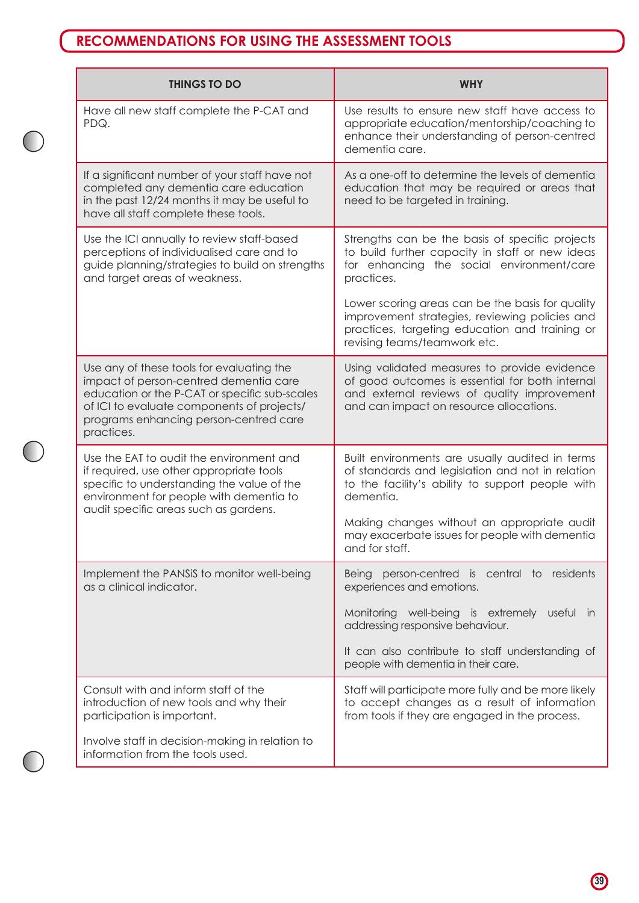## **RECOMMENDATIONS FOR USING THE ASSESSMENT TOOLS**

 $\bigcap$ 

 $\bigcirc$ 

| <b>THINGS TO DO</b>                                                                                                                                                                                                                        | <b>WHY</b>                                                                                                                                                                                |  |
|--------------------------------------------------------------------------------------------------------------------------------------------------------------------------------------------------------------------------------------------|-------------------------------------------------------------------------------------------------------------------------------------------------------------------------------------------|--|
| Have all new staff complete the P-CAT and<br>PDQ.                                                                                                                                                                                          | Use results to ensure new staff have access to<br>appropriate education/mentorship/coaching to<br>enhance their understanding of person-centred<br>dementia care.                         |  |
| If a significant number of your staff have not<br>completed any dementia care education<br>in the past 12/24 months it may be useful to<br>have all staff complete these tools.                                                            | As a one-off to determine the levels of dementia<br>education that may be required or areas that<br>need to be targeted in training.                                                      |  |
| Use the ICI annually to review staff-based<br>perceptions of individualised care and to<br>guide planning/strategies to build on strengths<br>and target areas of weakness.                                                                | Strengths can be the basis of specific projects<br>to build further capacity in staff or new ideas<br>for enhancing the social environment/care<br>practices.                             |  |
|                                                                                                                                                                                                                                            | Lower scoring areas can be the basis for quality<br>improvement strategies, reviewing policies and<br>practices, targeting education and training or<br>revising teams/teamwork etc.      |  |
| Use any of these tools for evaluating the<br>impact of person-centred dementia care<br>education or the P-CAT or specific sub-scales<br>of ICI to evaluate components of projects/<br>programs enhancing person-centred care<br>practices. | Using validated measures to provide evidence<br>of good outcomes is essential for both internal<br>and external reviews of quality improvement<br>and can impact on resource allocations. |  |
| Use the EAT to audit the environment and<br>if required, use other appropriate tools<br>specific to understanding the value of the<br>environment for people with dementia to<br>audit specific areas such as gardens.                     | Built environments are usually audited in terms<br>of standards and legislation and not in relation<br>to the facility's ability to support people with<br>dementia.                      |  |
|                                                                                                                                                                                                                                            | Making changes without an appropriate audit<br>may exacerbate issues for people with dementia<br>and for staff.                                                                           |  |
| Implement the PANSiS to monitor well-being<br>as a clinical indicator.                                                                                                                                                                     | Being person-centred is central to residents<br>experiences and emotions.                                                                                                                 |  |
|                                                                                                                                                                                                                                            | Monitoring well-being is extremely useful in<br>addressing responsive behaviour.                                                                                                          |  |
|                                                                                                                                                                                                                                            | It can also contribute to staff understanding of<br>people with dementia in their care.                                                                                                   |  |
| Consult with and inform staff of the<br>introduction of new tools and why their<br>participation is important.                                                                                                                             | Staff will participate more fully and be more likely<br>to accept changes as a result of information<br>from tools if they are engaged in the process.                                    |  |
| Involve staff in decision-making in relation to<br>information from the tools used.                                                                                                                                                        |                                                                                                                                                                                           |  |